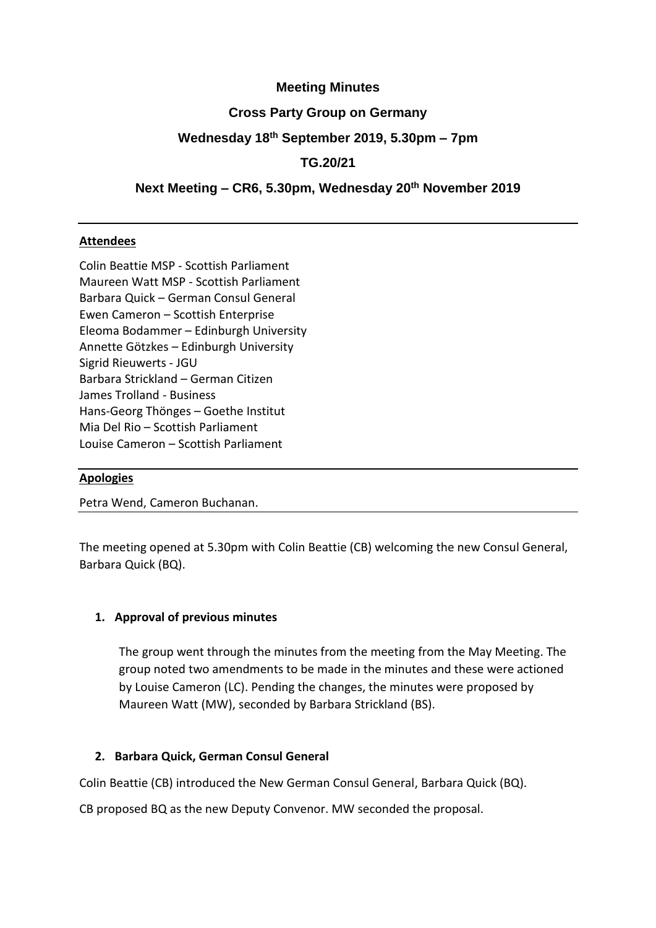### **Meeting Minutes**

### **Cross Party Group on Germany**

## **Wednesday 18th September 2019, 5.30pm – 7pm**

## **TG.20/21**

## **Next Meeting – CR6, 5.30pm, Wednesday 20th November 2019**

### **Attendees**

Colin Beattie MSP - Scottish Parliament Maureen Watt MSP - Scottish Parliament Barbara Quick – German Consul General Ewen Cameron – Scottish Enterprise Eleoma Bodammer – Edinburgh University Annette Götzkes – Edinburgh University Sigrid Rieuwerts - JGU Barbara Strickland – German Citizen James Trolland - Business Hans-Georg Thönges – Goethe Institut Mia Del Rio – Scottish Parliament Louise Cameron – Scottish Parliament

#### **Apologies**

Petra Wend, Cameron Buchanan.

The meeting opened at 5.30pm with Colin Beattie (CB) welcoming the new Consul General, Barbara Quick (BQ).

#### **1. Approval of previous minutes**

The group went through the minutes from the meeting from the May Meeting. The group noted two amendments to be made in the minutes and these were actioned by Louise Cameron (LC). Pending the changes, the minutes were proposed by Maureen Watt (MW), seconded by Barbara Strickland (BS).

#### **2. Barbara Quick, German Consul General**

Colin Beattie (CB) introduced the New German Consul General, Barbara Quick (BQ).

CB proposed BQ as the new Deputy Convenor. MW seconded the proposal.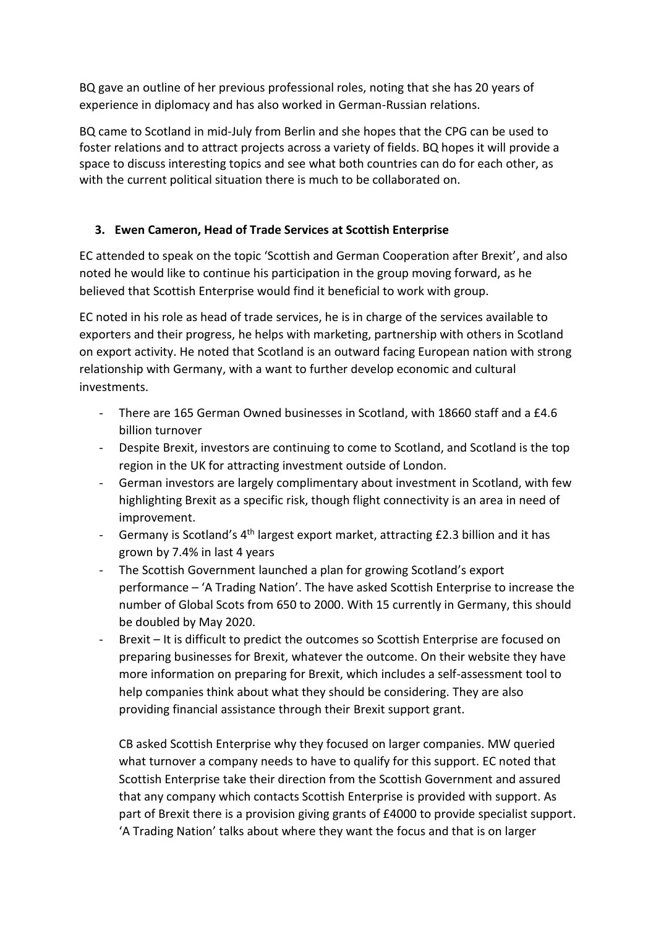BQ gave an outline of her previous professional roles, noting that she has 20 years of experience in diplomacy and has also worked in German-Russian relations.

BQ came to Scotland in mid-July from Berlin and she hopes that the CPG can be used to foster relations and to attract projects across a variety of fields. BQ hopes it will provide a space to discuss interesting topics and see what both countries can do for each other, as with the current political situation there is much to be collaborated on.

# **3. Ewen Cameron, Head of Trade Services at Scottish Enterprise**

EC attended to speak on the topic 'Scottish and German Cooperation after Brexit', and also noted he would like to continue his participation in the group moving forward, as he believed that Scottish Enterprise would find it beneficial to work with group.

EC noted in his role as head of trade services, he is in charge of the services available to exporters and their progress, he helps with marketing, partnership with others in Scotland on export activity. He noted that Scotland is an outward facing European nation with strong relationship with Germany, with a want to further develop economic and cultural investments.

- There are 165 German Owned businesses in Scotland, with 18660 staff and a £4.6 billion turnover
- Despite Brexit, investors are continuing to come to Scotland, and Scotland is the top region in the UK for attracting investment outside of London.
- German investors are largely complimentary about investment in Scotland, with few highlighting Brexit as a specific risk, though flight connectivity is an area in need of improvement.
- Germany is Scotland's 4<sup>th</sup> largest export market, attracting £2.3 billion and it has grown by 7.4% in last 4 years
- The Scottish Government launched a plan for growing Scotland's export performance – 'A Trading Nation'. The have asked Scottish Enterprise to increase the number of Global Scots from 650 to 2000. With 15 currently in Germany, this should be doubled by May 2020.
- Brexit It is difficult to predict the outcomes so Scottish Enterprise are focused on preparing businesses for Brexit, whatever the outcome. On their website they have more information on preparing for Brexit, which includes a self-assessment tool to help companies think about what they should be considering. They are also providing financial assistance through their Brexit support grant.

CB asked Scottish Enterprise why they focused on larger companies. MW queried what turnover a company needs to have to qualify for this support. EC noted that Scottish Enterprise take their direction from the Scottish Government and assured that any company which contacts Scottish Enterprise is provided with support. As part of Brexit there is a provision giving grants of £4000 to provide specialist support. 'A Trading Nation' talks about where they want the focus and that is on larger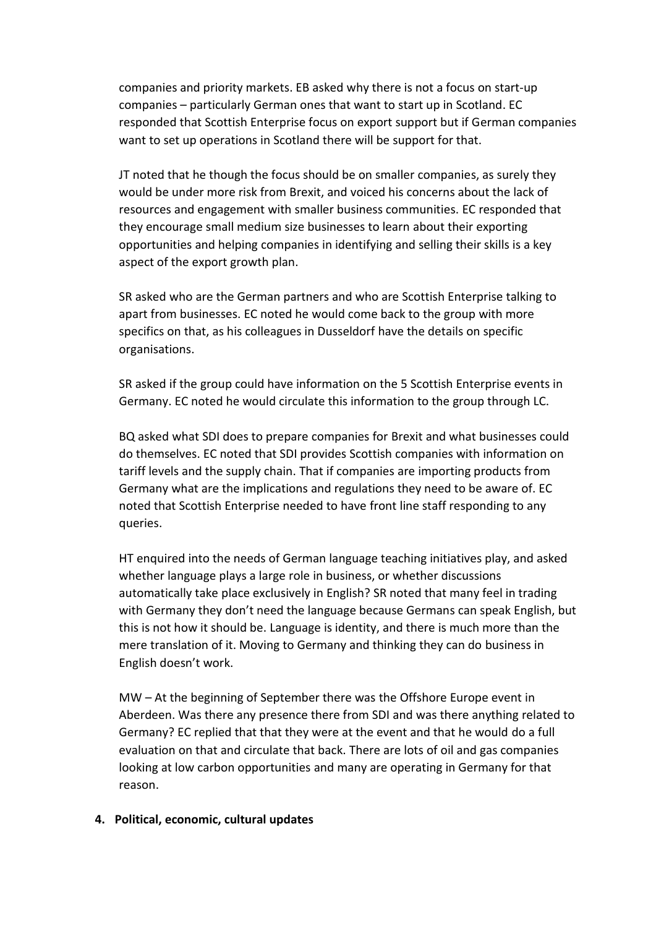companies and priority markets. EB asked why there is not a focus on start-up companies – particularly German ones that want to start up in Scotland. EC responded that Scottish Enterprise focus on export support but if German companies want to set up operations in Scotland there will be support for that.

JT noted that he though the focus should be on smaller companies, as surely they would be under more risk from Brexit, and voiced his concerns about the lack of resources and engagement with smaller business communities. EC responded that they encourage small medium size businesses to learn about their exporting opportunities and helping companies in identifying and selling their skills is a key aspect of the export growth plan.

SR asked who are the German partners and who are Scottish Enterprise talking to apart from businesses. EC noted he would come back to the group with more specifics on that, as his colleagues in Dusseldorf have the details on specific organisations.

SR asked if the group could have information on the 5 Scottish Enterprise events in Germany. EC noted he would circulate this information to the group through LC.

BQ asked what SDI does to prepare companies for Brexit and what businesses could do themselves. EC noted that SDI provides Scottish companies with information on tariff levels and the supply chain. That if companies are importing products from Germany what are the implications and regulations they need to be aware of. EC noted that Scottish Enterprise needed to have front line staff responding to any queries.

HT enquired into the needs of German language teaching initiatives play, and asked whether language plays a large role in business, or whether discussions automatically take place exclusively in English? SR noted that many feel in trading with Germany they don't need the language because Germans can speak English, but this is not how it should be. Language is identity, and there is much more than the mere translation of it. Moving to Germany and thinking they can do business in English doesn't work.

MW – At the beginning of September there was the Offshore Europe event in Aberdeen. Was there any presence there from SDI and was there anything related to Germany? EC replied that that they were at the event and that he would do a full evaluation on that and circulate that back. There are lots of oil and gas companies looking at low carbon opportunities and many are operating in Germany for that reason.

#### **4. Political, economic, cultural updates**